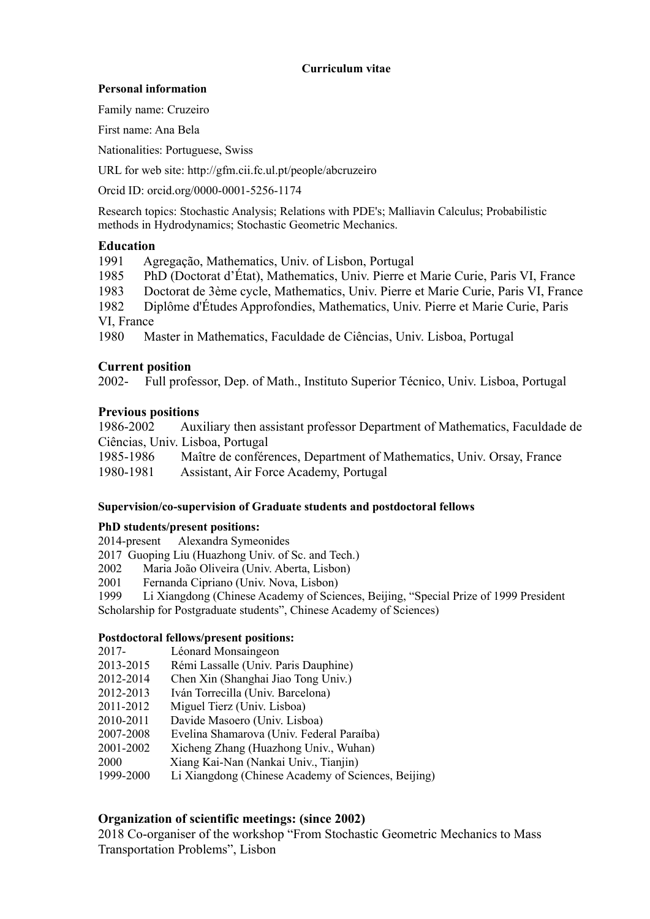### **Curriculum vitae**

### **Personal information**

Family name: Cruzeiro

First name: Ana Bela

Nationalities: Portuguese, Swiss

URL for web site: http://gfm.cii.fc.ul.pt/people/abcruzeiro

Orcid ID: orcid.org/0000-0001-5256-1174

Research topics: Stochastic Analysis; Relations with PDE's; Malliavin Calculus; Probabilistic methods in Hydrodynamics; Stochastic Geometric Mechanics.

# **Education**

1991 Agregação, Mathematics, Univ. of Lisbon, Portugal

1985 PhD (Doctorat d'État), Mathematics, Univ. Pierre et Marie Curie, Paris VI, France

1983 Doctorat de 3ème cycle, Mathematics, Univ. Pierre et Marie Curie, Paris VI, France

1982 Diplôme d'Études Approfondies, Mathematics, Univ. Pierre et Marie Curie, Paris VI, France

1980 Master in Mathematics, Faculdade de Ciências, Univ. Lisboa, Portugal

# **Current position**

2002- Full professor, Dep. of Math., Instituto Superior Técnico, Univ. Lisboa, Portugal

# **Previous positions**

1986-2002 Auxiliary then assistant professor Department of Mathematics, Faculdade de Ciências, Univ. Lisboa, Portugal 1985-1986 Maître de conférences, Department of Mathematics, Univ. Orsay, France 1980-1981 Assistant, Air Force Academy, Portugal

# **Supervision/co-supervision of Graduate students and postdoctoral fellows**

### **PhD students/present positions:**

2014-present Alexandra Symeonides

2017 Guoping Liu (Huazhong Univ. of Sc. and Tech.)

2002 Maria João Oliveira (Univ. Aberta, Lisbon)

2001 Fernanda Cipriano (Univ. Nova, Lisbon)

1999 Li Xiangdong (Chinese Academy of Sciences, Beijing, "Special Prize of 1999 President Scholarship for Postgraduate students", Chinese Academy of Sciences)

# **Postdoctoral fellows/present positions:**

- 2017-Léonard Monsaingeon
- 2013-2015 Rémi Lassalle (Univ. Paris Dauphine)
- 2012-2014 Chen Xin (Shanghai Jiao Tong Univ.)
- 2012-2013 Iván Torrecilla (Univ. Barcelona)
- 2011-2012 Miguel Tierz (Univ. Lisboa)
- 2010-2011 Davide Masoero (Univ. Lisboa)
- 2007-2008 Evelina Shamarova (Univ. Federal Paraíba)
- 2001-2002 Xicheng Zhang (Huazhong Univ., Wuhan)
- 2000 Xiang Kai-Nan (Nankai Univ., Tianjin)
- 1999-2000 Li Xiangdong (Chinese Academy of Sciences, Beijing)

# **Organization of scientific meetings: (since 2002)**

2018 Co-organiser of the workshop "From Stochastic Geometric Mechanics to Mass Transportation Problems", Lisbon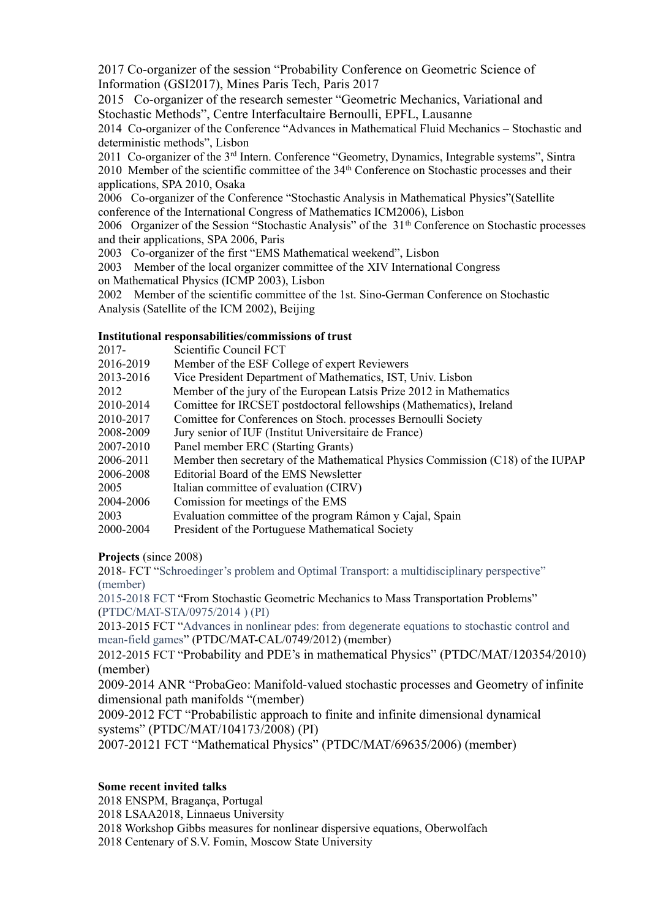2017 Co-organizer of the session "Probability Conference on Geometric Science of Information (GSI2017), Mines Paris Tech, Paris 2017

2015 Co-organizer of the research semester "Geometric Mechanics, Variational and Stochastic Methods", Centre Interfacultaire Bernoulli, EPFL, Lausanne

2014 Co-organizer of the Conference "Advances in Mathematical Fluid Mechanics – Stochastic and deterministic methods", Lisbon

2011 Co-organizer of the 3rd Intern. Conference "Geometry, Dynamics, Integrable systems", Sintra 2010 Member of the scientific committee of the 34<sup>th</sup> Conference on Stochastic processes and their applications, SPA 2010, Osaka

2006 Co-organizer of the Conference "Stochastic Analysis in Mathematical Physics"(Satellite conference of the International Congress of Mathematics ICM2006), Lisbon

2006 Organizer of the Session "Stochastic Analysis" of the 31<sup>th</sup> Conference on Stochastic processes and their applications, SPA 2006, Paris

2003 Co-organizer of the first "EMS Mathematical weekend", Lisbon

2003 Member of the local organizer committee of the XIV International Congress

on Mathematical Physics (ICMP 2003), Lisbon

2002 Member of the scientific committee of the 1st. Sino-German Conference on Stochastic Analysis (Satellite of the ICM 2002), Beijing

### **Institutional responsabilities/commissions of trust**

| $2017 -$  | Scientific Council FCT                                                          |
|-----------|---------------------------------------------------------------------------------|
| 2016-2019 | Member of the ESF College of expert Reviewers                                   |
| 2013-2016 | Vice President Department of Mathematics, IST, Univ. Lisbon                     |
| 2012      | Member of the jury of the European Latsis Prize 2012 in Mathematics             |
| 2010-2014 | Comittee for IRCSET postdoctoral fellowships (Mathematics), Ireland             |
| 2010-2017 | Comittee for Conferences on Stoch. processes Bernoulli Society                  |
| 2008-2009 | Jury senior of IUF (Institut Universitaire de France)                           |
| 2007-2010 | Panel member ERC (Starting Grants)                                              |
| 2006-2011 | Member then secretary of the Mathematical Physics Commission (C18) of the IUPAP |
| 2006-2008 | Editorial Board of the EMS Newsletter                                           |
| 2005      | Italian committee of evaluation (CIRV)                                          |
| 2004-2006 | Comission for meetings of the EMS                                               |
| 2003      | Evaluation committee of the program Rámon y Cajal, Spain                        |
| 2000-2004 | President of the Portuguese Mathematical Society                                |
|           |                                                                                 |

**Projects** (since 2008)

2018- FCT "Schroedinger's problem and Optimal Transport: a multidisciplinary perspective" (member)

2015-2018 FCT "From Stochastic Geometric Mechanics to Mass Transportation Problems" (PTDC/MAT-STA/0975/2014 ) (PI)

2013-2015 FCT "Advances in nonlinear pdes: from degenerate equations to stochastic control and mean-field games" (PTDC/MAT-CAL/0749/2012) (member)

2012-2015 FCT "Probability and PDE's in mathematical Physics" (PTDC/MAT/120354/2010) (member)

2009-2014 ANR "ProbaGeo: Manifold-valued stochastic processes and Geometry of infinite dimensional path manifolds "(member)

2009-2012 FCT "Probabilistic approach to finite and infinite dimensional dynamical systems" (PTDC/MAT/104173/2008) (PI)

2007-20121 FCT "Mathematical Physics" (PTDC/MAT/69635/2006) (member)

### **Some recent invited talks**

2018 ENSPM, Bragança, Portugal 2018 LSAA2018, Linnaeus University 2018 Workshop Gibbs measures for nonlinear dispersive equations, Oberwolfach 2018 Centenary of S.V. Fomin, Moscow State University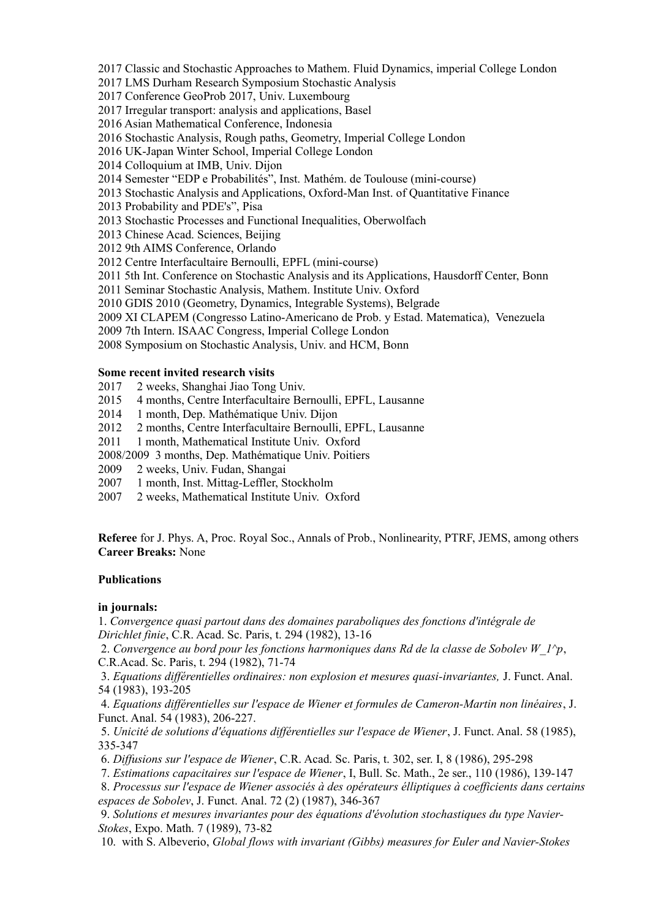2017 Classic and Stochastic Approaches to Mathem. Fluid Dynamics, imperial College London

2017 LMS Durham Research Symposium Stochastic Analysis

2017 Conference GeoProb 2017, Univ. Luxembourg

2017 Irregular transport: analysis and applications, Basel

2016 Asian Mathematical Conference, Indonesia

2016 Stochastic Analysis, Rough paths, Geometry, Imperial College London

2016 UK-Japan Winter School, Imperial College London

2014 Colloquium at IMB, Univ. Dijon

2014 Semester "EDP e Probabilités", Inst. Mathém. de Toulouse (mini-course)

2013 Stochastic Analysis and Applications, Oxford-Man Inst. of Quantitative Finance

2013 Probability and PDE's", Pisa

2013 Stochastic Processes and Functional Inequalities, Oberwolfach

2013 Chinese Acad. Sciences, Beijing

2012 9th AIMS Conference, Orlando

2012 Centre Interfacultaire Bernoulli, EPFL (mini-course)

2011 5th Int. Conference on Stochastic Analysis and its Applications, Hausdorff Center, Bonn

2011 Seminar Stochastic Analysis, Mathem. Institute Univ. Oxford

2010 GDIS 2010 (Geometry, Dynamics, Integrable Systems), Belgrade

2009 XI CLAPEM (Congresso Latino-Americano de Prob. y Estad. Matematica), Venezuela

2009 7th Intern. ISAAC Congress, Imperial College London

2008 Symposium on Stochastic Analysis, Univ. and HCM, Bonn

### **Some recent invited research visits**

- 2017 2 weeks, Shanghai Jiao Tong Univ.
- 2015 4 months, Centre Interfacultaire Bernoulli, EPFL, Lausanne
- 2014 1 month, Dep. Mathématique Univ. Dijon
- 2012 2 months, Centre Interfacultaire Bernoulli, EPFL, Lausanne

2011 1 month, Mathematical Institute Univ. Oxford

2008/2009 3 months, Dep. Mathématique Univ. Poitiers

- 2009 2 weeks, Univ. Fudan, Shangai
- 2007 1 month, Inst. Mittag-Leffler, Stockholm
- 2007 2 weeks, Mathematical Institute Univ. Oxford

**Referee** for J. Phys. A, Proc. Royal Soc., Annals of Prob., Nonlinearity, PTRF, JEMS, among others **Career Breaks:** None

### **Publications**

### **in journals:**

1. *Convergence quasi partout dans des domaines paraboliques des fonctions d'intégrale de Dirichlet finie*, C.R. Acad. Sc. Paris, t. 294 (1982), 13-16

 2. *Convergence au bord pour les fonctions harmoniques dans Rd de la classe de Sobolev W\_1^p*, C.R.Acad. Sc. Paris, t. 294 (1982), 71-74

 3. *Equations différentielles ordinaires: non explosion et mesures quasi-invariantes,* J. Funct. Anal. 54 (1983), 193-205

 4. *Equations différentielles sur l'espace de Wiener et formules de Cameron-Martin non linéaires*, J. Funct. Anal. 54 (1983), 206-227.

 5. *Unicité de solutions d'équations différentielles sur l'espace de Wiener*, J. Funct. Anal. 58 (1985), 335-347

6. *Diffusions sur l'espace de Wiener*, C.R. Acad. Sc. Paris, t. 302, ser. I, 8 (1986), 295-298

7. *Estimations capacitaires sur l'espace de Wiener*, I, Bull. Sc. Math., 2e ser., 110 (1986), 139-147

 8. *Processus sur l'espace de Wiener associés à des opérateurs élliptiques à coefficients dans certains espaces de Sobolev*, J. Funct. Anal. 72 (2) (1987), 346-367

 9. *Solutions et mesures invariantes pour des équations d'évolution stochastiques du type Navier-Stokes*, Expo. Math. 7 (1989), 73-82

10. with S. Albeverio, *Global flows with invariant (Gibbs) measures for Euler and Navier-Stokes*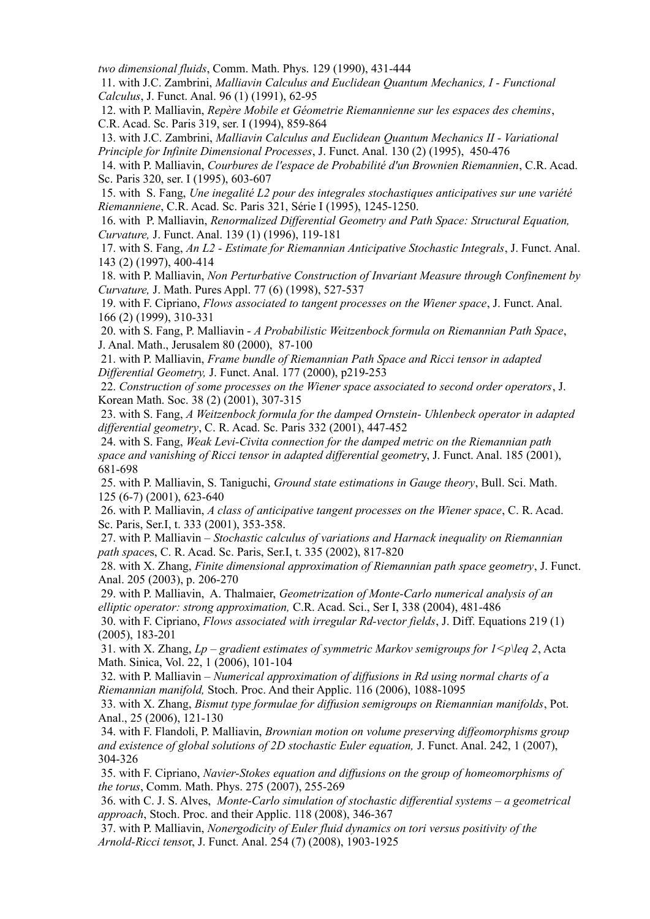*two dimensional fluids*, Comm. Math. Phys. 129 (1990), 431-444

 11. with J.C. Zambrini, *Malliavin Calculus and Euclidean Quantum Mechanics, I - Functional Calculus*, J. Funct. Anal. 96 (1) (1991), 62-95

 12. with P. Malliavin, *Repère Mobile et Géometrie Riemannienne sur les espaces des chemins*, C.R. Acad. Sc. Paris 319, ser. I (1994), 859-864

 13. with J.C. Zambrini, *Malliavin Calculus and Euclidean Quantum Mechanics II - Variational Principle for Infinite Dimensional Processes*, J. Funct. Anal. 130 (2) (1995), 450-476

 14. with P. Malliavin, *Courbures de l'espace de Probabilité d'un Brownien Riemannien*, C.R. Acad. Sc. Paris 320, ser. I (1995), 603-607

 15. with S. Fang, *Une inegalité L2 pour des integrales stochastiques anticipatives sur une variété Riemanniene*, C.R. Acad. Sc. Paris 321, Série I (1995), 1245-1250.

 16. with P. Malliavin, *Renormalized Differential Geometry and Path Space: Structural Equation, Curvature,* J. Funct. Anal. 139 (1) (1996), 119-181

 17. with S. Fang, *An L2 - Estimate for Riemannian Anticipative Stochastic Integrals*, J. Funct. Anal. 143 (2) (1997), 400-414

 18. with P. Malliavin, *Non Perturbative Construction of Invariant Measure through Confinement by Curvature,* J. Math. Pures Appl. 77 (6) (1998), 527-537

 19. with F. Cipriano, *Flows associated to tangent processes on the Wiener space*, J. Funct. Anal. 166 (2) (1999), 310-331

 20. with S. Fang, P. Malliavin - *A Probabilistic Weitzenbock formula on Riemannian Path Space*, J. Anal. Math., Jerusalem 80 (2000), 87-100

 21. with P. Malliavin, *Frame bundle of Riemannian Path Space and Ricci tensor in adapted Differential Geometry,* J. Funct. Anal. 177 (2000), p219-253

 22. *Construction of some processes on the Wiener space associated to second order operators*, J. Korean Math. Soc. 38 (2) (2001), 307-315

 23. with S. Fang, *A Weitzenbock formula for the damped Ornstein- Uhlenbeck operator in adapted differential geometry*, C. R. Acad. Sc. Paris 332 (2001), 447-452

 24. with S. Fang, *Weak Levi-Civita connection for the damped metric on the Riemannian path space and vanishing of Ricci tensor in adapted differential geometr*y, J. Funct. Anal. 185 (2001), 681-698

 25. with P. Malliavin, S. Taniguchi, *Ground state estimations in Gauge theory*, Bull. Sci. Math. 125 (6-7) (2001), 623-640

 26. with P. Malliavin, *A class of anticipative tangent processes on the Wiener space*, C. R. Acad. Sc. Paris, Ser.I, t. 333 (2001), 353-358.

 27. with P. Malliavin – *Stochastic calculus of variations and Harnack inequality on Riemannian path space*s, C. R. Acad. Sc. Paris, Ser.I, t. 335 (2002), 817-820

 28. with X. Zhang, *Finite dimensional approximation of Riemannian path space geometry*, J. Funct. Anal. 205 (2003), p. 206-270

 29. with P. Malliavin, A. Thalmaier, *Geometrization of Monte-Carlo numerical analysis of an elliptic operator: strong approximation,* C.R. Acad. Sci., Ser I, 338 (2004), 481-486

 30. with F. Cipriano, *Flows associated with irregular Rd-vector fields*, J. Diff. Equations 219 (1) (2005), 183-201

31. with X. Zhang,  $L_p$  – gradient estimates of symmetric Markov semigroups for  $1 \leq p \leq 2$ , Acta Math. Sinica, Vol. 22, 1 (2006), 101-104

 32. with P. Malliavin – *Numerical approximation of diffusions in Rd using normal charts of a Riemannian manifold,* Stoch. Proc. And their Applic. 116 (2006), 1088-1095

 33. with X. Zhang, *Bismut type formulae for diffusion semigroups on Riemannian manifolds*, Pot. Anal., 25 (2006), 121-130

 34. with F. Flandoli, P. Malliavin, *Brownian motion on volume preserving diffeomorphisms group and existence of global solutions of 2D stochastic Euler equation,* J. Funct. Anal. 242, 1 (2007), 304-326

 35. with F. Cipriano, *Navier-Stokes equation and diffusions on the group of homeomorphisms of the torus*, Comm. Math. Phys. 275 (2007), 255-269

 36. with C. J. S. Alves, *Monte-Carlo simulation of stochastic differential systems – a geometrical approach*, Stoch. Proc. and their Applic. 118 (2008), 346-367

 37. with P. Malliavin, *Nonergodicity of Euler fluid dynamics on tori versus positivity of the Arnold-Ricci tenso*r, J. Funct. Anal. 254 (7) (2008), 1903-1925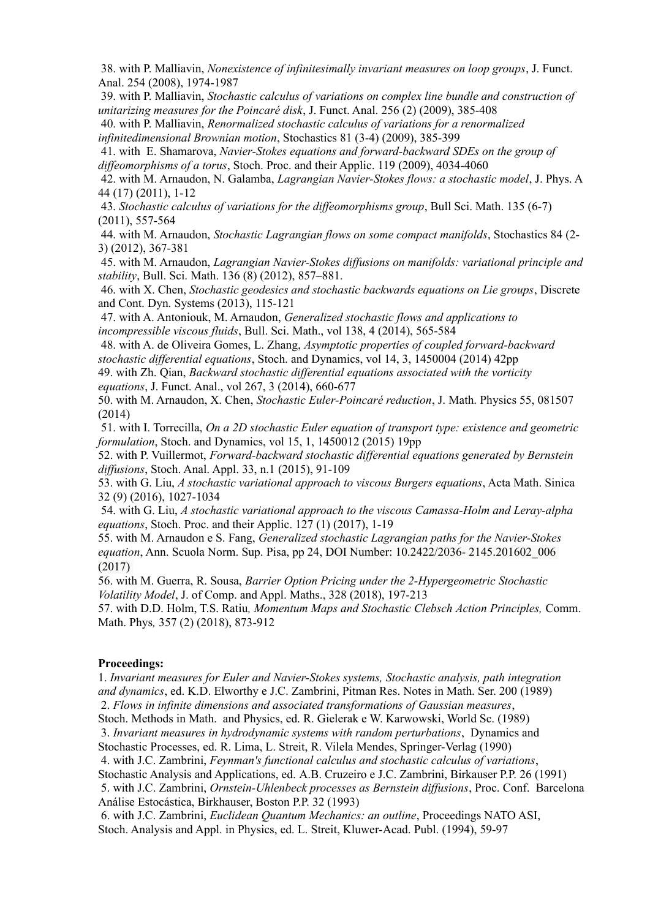38. with P. Malliavin, *Nonexistence of infinitesimally invariant measures on loop groups*, J. Funct. Anal. 254 (2008), 1974-1987

 39. with P. Malliavin, *Stochastic calculus of variations on complex line bundle and construction of unitarizing measures for the Poincaré disk*, J. Funct. Anal. 256 (2) (2009), 385-408

 40. with P. Malliavin, *Renormalized stochastic calculus of variations for a renormalized infinitedimensional Brownian motion*, Stochastics 81 (3-4) (2009), 385-399

 41. with E. Shamarova, *Navier-Stokes equations and forward-backward SDEs on the group of diffeomorphisms of a torus*, Stoch. Proc. and their Applic. 119 (2009), 4034-4060

 42. with M. Arnaudon, N. Galamba, *Lagrangian Navier-Stokes flows: a stochastic model*, J. Phys. A 44 (17) (2011), 1-12

 43. *Stochastic calculus of variations for the diffeomorphisms group*, Bull Sci. Math. 135 (6-7) (2011), 557-564

 44. with M. Arnaudon, *Stochastic Lagrangian flows on some compact manifolds*, Stochastics 84 (2- 3) (2012), 367-381

 45. with M. Arnaudon, *Lagrangian Navier-Stokes diffusions on manifolds: variational principle and stability*, Bull. Sci. Math. 136 (8) (2012), 857–881.

 46. with X. Chen, *Stochastic geodesics and stochastic backwards equations on Lie groups*, Discrete and Cont. Dyn. Systems (2013), 115-121

 47. with A. Antoniouk, M. Arnaudon, *Generalized stochastic flows and applications to incompressible viscous fluids*, Bull. Sci. Math., vol 138, 4 (2014), 565-584

 48. with A. de Oliveira Gomes, L. Zhang, *Asymptotic properties of coupled forward-backward stochastic differential equations*, Stoch. and Dynamics, vol 14, 3, 1450004 (2014) 42pp

49. with Zh. Qian, *Backward stochastic differential equations associated with the vorticity equations*, J. Funct. Anal., vol 267, 3 (2014), 660-677

50. with M. Arnaudon, X. Chen, *Stochastic Euler-Poincaré reduction*, J. Math. Physics 55, 081507 (2014)

 51. with I. Torrecilla, *On a 2D stochastic Euler equation of transport type: existence and geometric formulation*, Stoch. and Dynamics, vol 15, 1, 1450012 (2015) 19pp

52. with P. Vuillermot, *Forward-backward stochastic differential equations generated by Bernstein diffusions*, Stoch. Anal. Appl. 33, n.1 (2015), 91-109

53. with G. Liu, *A stochastic variational approach to viscous Burgers equations*, Acta Math. Sinica 32 (9) (2016), 1027-1034

 54. with G. Liu, *A stochastic variational approach to the viscous Camassa-Holm and Leray-alpha equations*, Stoch. Proc. and their Applic. 127 (1) (2017), 1-19

55. with M. Arnaudon e S. Fang, *Generalized stochastic Lagrangian paths for the Navier-Stokes equation*, Ann. Scuola Norm. Sup. Pisa, pp 24, DOI Number: 10.2422/2036- 2145.201602\_006 (2017)

56. with M. Guerra, R. Sousa, *Barrier Option Pricing under the 2-Hypergeometric Stochastic Volatility Model*, J. of Comp. and Appl. Maths., 328 (2018), 197-213

57. with D.D. Holm, T.S. Ratiu*, Momentum Maps and Stochastic Clebsch Action Principles,* Comm. Math. Phys*,* 357 (2) (2018), 873-912

#### **Proceedings:**

1. *Invariant measures for Euler and Navier-Stokes systems, Stochastic analysis, path integration and dynamics*, ed. K.D. Elworthy e J.C. Zambrini, Pitman Res. Notes in Math. Ser. 200 (1989) 2. *Flows in infinite dimensions and associated transformations of Gaussian measures*, Stoch. Methods in Math. and Physics, ed. R. Gielerak e W. Karwowski, World Sc. (1989)

 3. *Invariant measures in hydrodynamic systems with random perturbations*, Dynamics and Stochastic Processes, ed. R. Lima, L. Streit, R. Vilela Mendes, Springer-Verlag (1990)

4. with J.C. Zambrini, *Feynman's functional calculus and stochastic calculus of variations*,

Stochastic Analysis and Applications, ed. A.B. Cruzeiro e J.C. Zambrini, Birkauser P.P. 26 (1991)

5. with J.C. Zambrini, *Ornstein-Uhlenbeck processes as Bernstein diffusions*, Proc. Conf. Barcelona Análise Estocástica, Birkhauser, Boston P.P. 32 (1993)

 6. with J.C. Zambrini, *Euclidean Quantum Mechanics: an outline*, Proceedings NATO ASI, Stoch. Analysis and Appl. in Physics, ed. L. Streit, Kluwer-Acad. Publ. (1994), 59-97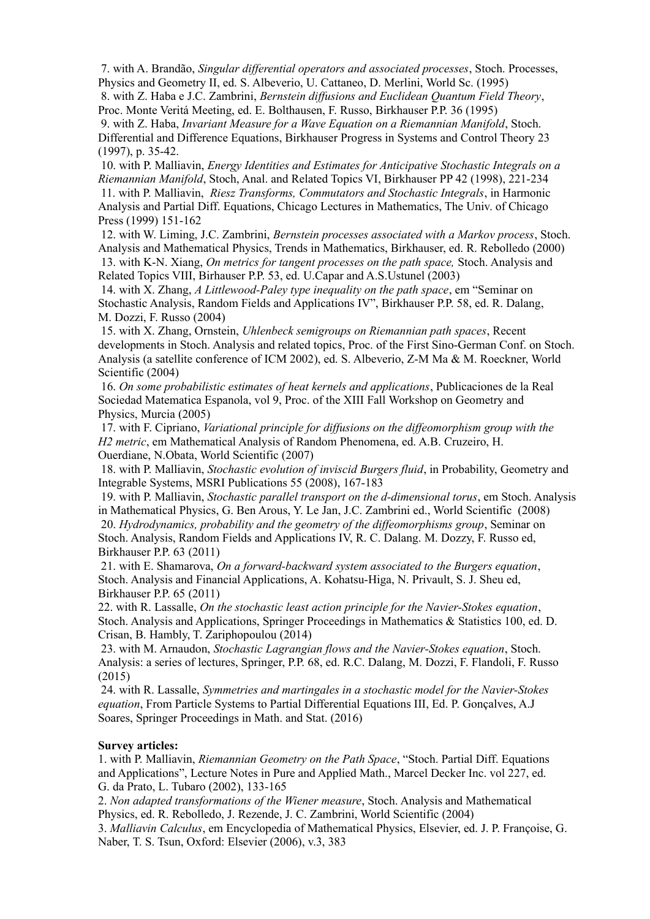7. with A. Brandão, *Singular differential operators and associated processes*, Stoch. Processes, Physics and Geometry II, ed. S. Albeverio, U. Cattaneo, D. Merlini, World Sc. (1995)

 8. with Z. Haba e J.C. Zambrini, *Bernstein diffusions and Euclidean Quantum Field Theory*, Proc. Monte Veritá Meeting, ed. E. Bolthausen, F. Russo, Birkhauser P.P. 36 (1995)

 9. with Z. Haba, *Invariant Measure for a Wave Equation on a Riemannian Manifold*, Stoch. Differential and Difference Equations, Birkhauser Progress in Systems and Control Theory 23 (1997), p. 35-42.

 10. with P. Malliavin, *Energy Identities and Estimates for Anticipative Stochastic Integrals on a Riemannian Manifold*, Stoch, Anal. and Related Topics VI, Birkhauser PP 42 (1998), 221-234 11. with P. Malliavin, *Riesz Transforms, Commutators and Stochastic Integrals*, in Harmonic Analysis and Partial Diff. Equations, Chicago Lectures in Mathematics, The Univ. of Chicago Press (1999) 151-162

 12. with W. Liming, J.C. Zambrini, *Bernstein processes associated with a Markov process*, Stoch. Analysis and Mathematical Physics, Trends in Mathematics, Birkhauser, ed. R. Rebolledo (2000) 13. with K-N. Xiang, *On metrics for tangent processes on the path space,* Stoch. Analysis and Related Topics VIII, Birhauser P.P. 53, ed. U.Capar and A.S.Ustunel (2003)

 14. with X. Zhang, *A Littlewood-Paley type inequality on the path space*, em "Seminar on Stochastic Analysis, Random Fields and Applications IV", Birkhauser P.P. 58, ed. R. Dalang, M. Dozzi, F. Russo (2004)

 15. with X. Zhang, Ornstein, *Uhlenbeck semigroups on Riemannian path spaces*, Recent developments in Stoch. Analysis and related topics, Proc. of the First Sino-German Conf. on Stoch. Analysis (a satellite conference of ICM 2002), ed. S. Albeverio, Z-M Ma & M. Roeckner, World Scientific (2004)

 16. *On some probabilistic estimates of heat kernels and applications*, Publicaciones de la Real Sociedad Matematica Espanola, vol 9, Proc. of the XIII Fall Workshop on Geometry and Physics, Murcia (2005)

 17. with F. Cipriano, *Variational principle for diffusions on the diffeomorphism group with the H2 metric*, em Mathematical Analysis of Random Phenomena, ed. A.B. Cruzeiro, H. Ouerdiane, N.Obata, World Scientific (2007)

 18. with P. Malliavin, *Stochastic evolution of inviscid Burgers fluid*, in Probability, Geometry and Integrable Systems, MSRI Publications 55 (2008), 167-183

 19. with P. Malliavin, *Stochastic parallel transport on the d-dimensional torus*, em Stoch. Analysis in Mathematical Physics, G. Ben Arous, Y. Le Jan, J.C. Zambrini ed., World Scientific (2008) 20. *Hydrodynamics, probability and the geometry of the diffeomorphisms group*, Seminar on Stoch. Analysis, Random Fields and Applications IV, R. C. Dalang. M. Dozzy, F. Russo ed, Birkhauser P.P. 63 (2011)

 21. with E. Shamarova, *On a forward-backward system associated to the Burgers equation*, Stoch. Analysis and Financial Applications, A. Kohatsu-Higa, N. Privault, S. J. Sheu ed, Birkhauser P.P. 65 (2011)

22. with R. Lassalle, *On the stochastic least action principle for the Navier-Stokes equation*, Stoch. Analysis and Applications, Springer Proceedings in Mathematics & Statistics 100, ed. D. Crisan, B. Hambly, T. Zariphopoulou (2014)

 23. with M. Arnaudon, *Stochastic Lagrangian flows and the Navier-Stokes equation*, Stoch. Analysis: a series of lectures, Springer, P.P. 68, ed. R.C. Dalang, M. Dozzi, F. Flandoli, F. Russo (2015)

 24. with R. Lassalle, *Symmetries and martingales in a stochastic model for the Navier-Stokes equation*, From Particle Systems to Partial Differential Equations III, Ed. P. Gonçalves, A.J Soares, Springer Proceedings in Math. and Stat. (2016)

### **Survey articles:**

1. with P. Malliavin, *Riemannian Geometry on the Path Space*, "Stoch. Partial Diff. Equations and Applications", Lecture Notes in Pure and Applied Math., Marcel Decker Inc. vol 227, ed. G. da Prato, L. Tubaro (2002), 133-165

2. *Non adapted transformations of the Wiener measure*, Stoch. Analysis and Mathematical Physics, ed. R. Rebolledo, J. Rezende, J. C. Zambrini, World Scientific (2004)

3. *Malliavin Calculus*, em Encyclopedia of Mathematical Physics, Elsevier, ed. J. P. Françoise, G. Naber, T. S. Tsun, Oxford: Elsevier (2006), v.3, 383